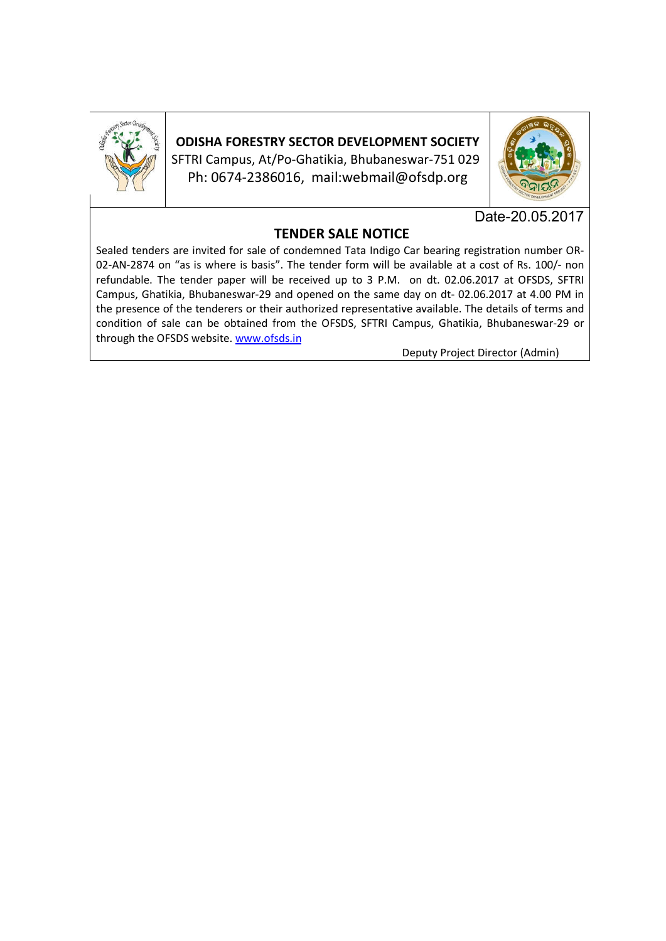

**ODISHA FORESTRY SECTOR DEVELOPMENT SOCIETY** SFTRI Campus, At/Po-Ghatikia, Bhubaneswar-751 029 Ph: 0674-2386016, mail:webmail@ofsdp.org



Date-20.05.2017

# **TENDER SALE NOTICE**

Sealed tenders are invited for sale of condemned Tata Indigo Car bearing registration number OR-02-AN-2874 on "as is where is basis". The tender form will be available at a cost of Rs. 100/- non refundable. The tender paper will be received up to 3 P.M. on dt. 02.06.2017 at OFSDS, SFTRI Campus, Ghatikia, Bhubaneswar-29 and opened on the same day on dt- 02.06.2017 at 4.00 PM in the presence of the tenderers or their authorized representative available. The details of terms and condition of sale can be obtained from the OFSDS, SFTRI Campus, Ghatikia, Bhubaneswar-29 or through the OFSDS website. www.ofsds.in

Deputy Project Director (Admin)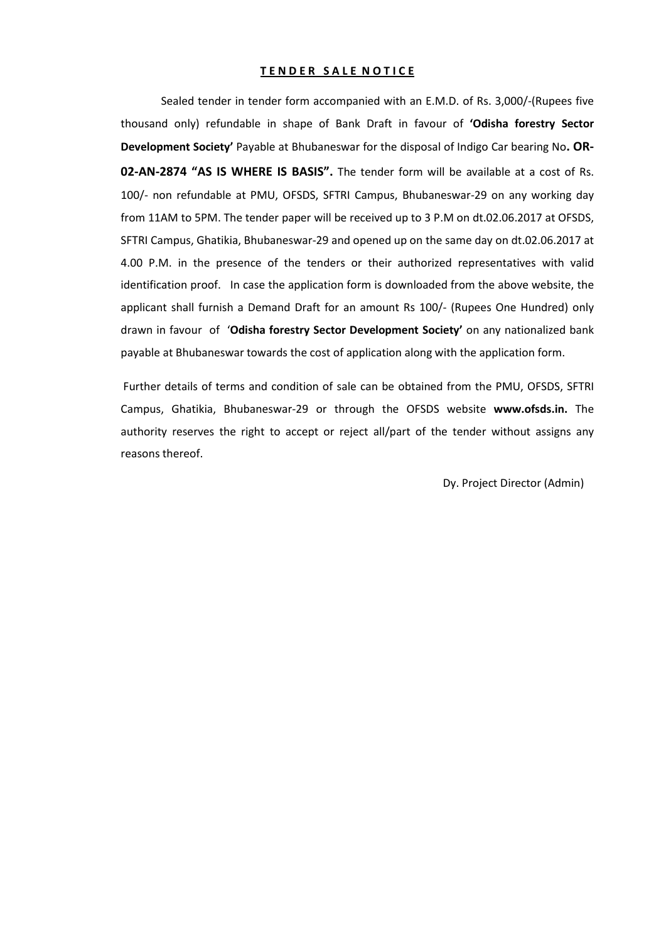#### **TENDER SALE NOTICE**

Sealed tender in tender form accompanied with an E.M.D. of Rs. 3,000/-(Rupees five thousand only) refundable in shape of Bank Draft in favour of **'Odisha forestry Sector Development Society'** Payable at Bhubaneswar for the disposal of Indigo Car bearing No**. OR-02-AN-2874 "AS IS WHERE IS BASIS".** The tender form will be available at a cost of Rs. 100/- non refundable at PMU, OFSDS, SFTRI Campus, Bhubaneswar-29 on any working day from 11AM to 5PM. The tender paper will be received up to 3 P.M on dt.02.06.2017 at OFSDS, SFTRI Campus, Ghatikia, Bhubaneswar-29 and opened up on the same day on dt.02.06.2017 at 4.00 P.M. in the presence of the tenders or their authorized representatives with valid identification proof. In case the application form is downloaded from the above website, the applicant shall furnish a Demand Draft for an amount Rs 100/- (Rupees One Hundred) only drawn in favour of '**Odisha forestry Sector Development Society'** on any nationalized bank payable at Bhubaneswar towards the cost of application along with the application form.

Further details of terms and condition of sale can be obtained from the PMU, OFSDS, SFTRI Campus, Ghatikia, Bhubaneswar-29 or through the OFSDS website **www.ofsds.in.** The authority reserves the right to accept or reject all/part of the tender without assigns any reasons thereof.

Dy. Project Director (Admin)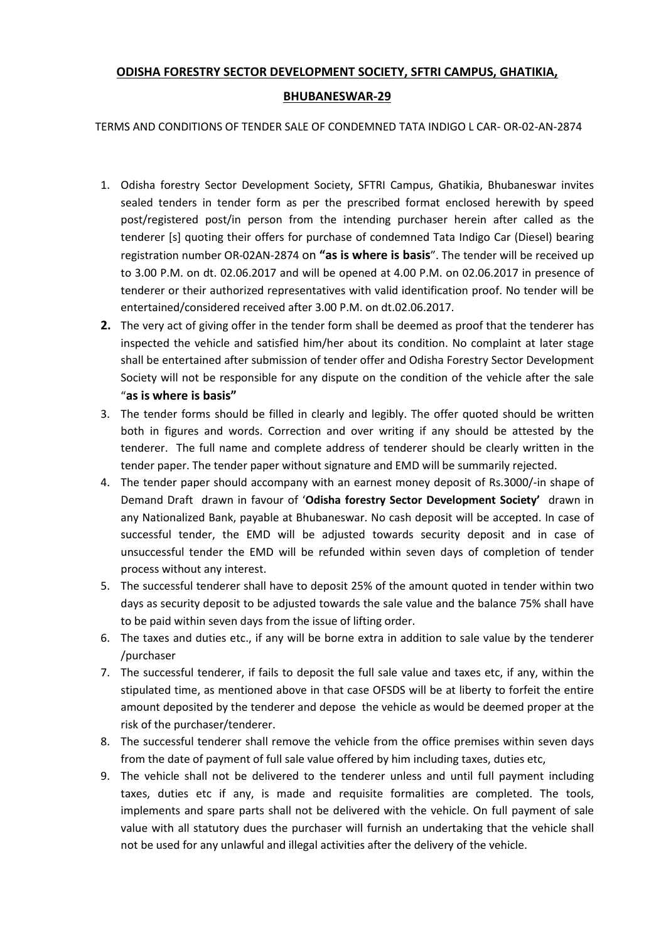## **ODISHA FORESTRY SECTOR DEVELOPMENT SOCIETY, SFTRI CAMPUS, GHATIKIA,**

### **BHUBANESWAR-29**

TERMS AND CONDITIONS OF TENDER SALE OF CONDEMNED TATA INDIGO L CAR- OR-02-AN-2874

- 1. Odisha forestry Sector Development Society, SFTRI Campus, Ghatikia, Bhubaneswar invites sealed tenders in tender form as per the prescribed format enclosed herewith by speed post/registered post/in person from the intending purchaser herein after called as the tenderer [s] quoting their offers for purchase of condemned Tata Indigo Car (Diesel) bearing registration number OR-02AN-2874 on **"as is where is basis**". The tender will be received up to 3.00 P.M. on dt. 02.06.2017 and will be opened at 4.00 P.M. on 02.06.2017 in presence of tenderer or their authorized representatives with valid identification proof. No tender will be entertained/considered received after 3.00 P.M. on dt.02.06.2017.
- **2.** The very act of giving offer in the tender form shall be deemed as proof that the tenderer has inspected the vehicle and satisfied him/her about its condition. No complaint at later stage shall be entertained after submission of tender offer and Odisha Forestry Sector Development Society will not be responsible for any dispute on the condition of the vehicle after the sale "**as is where is basis"**
- 3. The tender forms should be filled in clearly and legibly. The offer quoted should be written both in figures and words. Correction and over writing if any should be attested by the tenderer. The full name and complete address of tenderer should be clearly written in the tender paper. The tender paper without signature and EMD will be summarily rejected.
- 4. The tender paper should accompany with an earnest money deposit of Rs.3000/-in shape of Demand Draft drawn in favour of '**Odisha forestry Sector Development Society'** drawn in any Nationalized Bank, payable at Bhubaneswar. No cash deposit will be accepted. In case of successful tender, the EMD will be adjusted towards security deposit and in case of unsuccessful tender the EMD will be refunded within seven days of completion of tender process without any interest.
- 5. The successful tenderer shall have to deposit 25% of the amount quoted in tender within two days as security deposit to be adjusted towards the sale value and the balance 75% shall have to be paid within seven days from the issue of lifting order.
- 6. The taxes and duties etc., if any will be borne extra in addition to sale value by the tenderer /purchaser
- 7. The successful tenderer, if fails to deposit the full sale value and taxes etc, if any, within the stipulated time, as mentioned above in that case OFSDS will be at liberty to forfeit the entire amount deposited by the tenderer and depose the vehicle as would be deemed proper at the risk of the purchaser/tenderer.
- 8. The successful tenderer shall remove the vehicle from the office premises within seven days from the date of payment of full sale value offered by him including taxes, duties etc,
- 9. The vehicle shall not be delivered to the tenderer unless and until full payment including taxes, duties etc if any, is made and requisite formalities are completed. The tools, implements and spare parts shall not be delivered with the vehicle. On full payment of sale value with all statutory dues the purchaser will furnish an undertaking that the vehicle shall not be used for any unlawful and illegal activities after the delivery of the vehicle.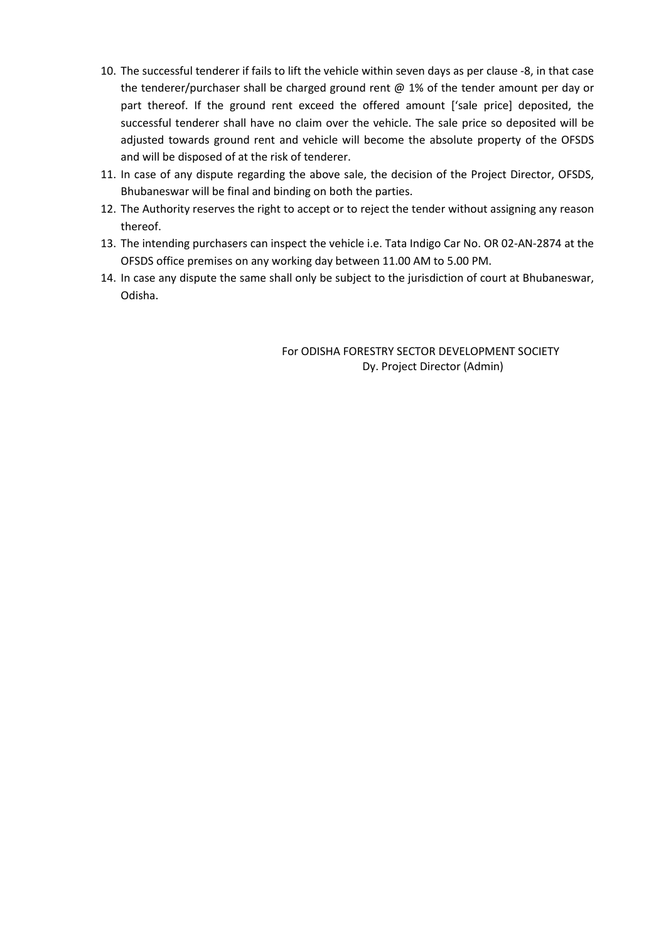- 10. The successful tenderer if fails to lift the vehicle within seven days as per clause -8, in that case the tenderer/purchaser shall be charged ground rent @ 1% of the tender amount per day or part thereof. If the ground rent exceed the offered amount ['sale price] deposited, the successful tenderer shall have no claim over the vehicle. The sale price so deposited will be adjusted towards ground rent and vehicle will become the absolute property of the OFSDS and will be disposed of at the risk of tenderer.
- 11. In case of any dispute regarding the above sale, the decision of the Project Director, OFSDS, Bhubaneswar will be final and binding on both the parties.
- 12. The Authority reserves the right to accept or to reject the tender without assigning any reason thereof.
- 13. The intending purchasers can inspect the vehicle i.e. Tata Indigo Car No. OR 02-AN-2874 at the OFSDS office premises on any working day between 11.00 AM to 5.00 PM.
- 14. In case any dispute the same shall only be subject to the jurisdiction of court at Bhubaneswar, Odisha.

For ODISHA FORESTRY SECTOR DEVELOPMENT SOCIETY Dy. Project Director (Admin)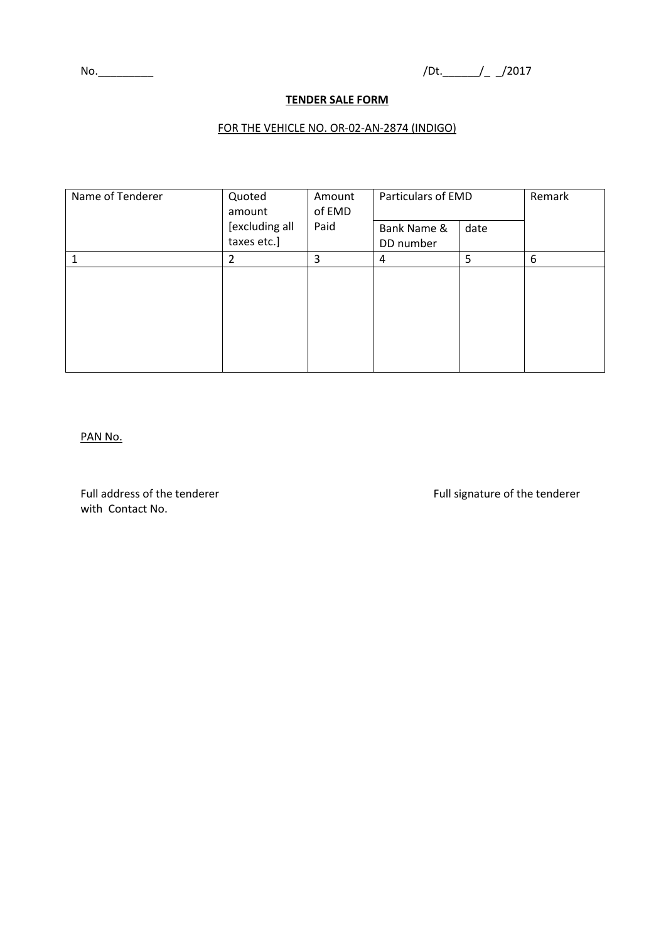## **TENDER SALE FORM**

### FOR THE VEHICLE NO. OR-02-AN-2874 (INDIGO)

| Name of Tenderer | Quoted<br>amount | Amount<br>of EMD | Particulars of EMD |      | Remark |
|------------------|------------------|------------------|--------------------|------|--------|
|                  | [excluding all   | Paid             | Bank Name &        | date |        |
|                  | taxes etc.]      |                  | DD number          |      |        |
|                  | 2                | 3                | 4                  | 5    | 6      |
|                  |                  |                  |                    |      |        |

#### PAN No.

Full address of the tenderer Full signature of the tenderer Full signature of the tenderer with Contact No.